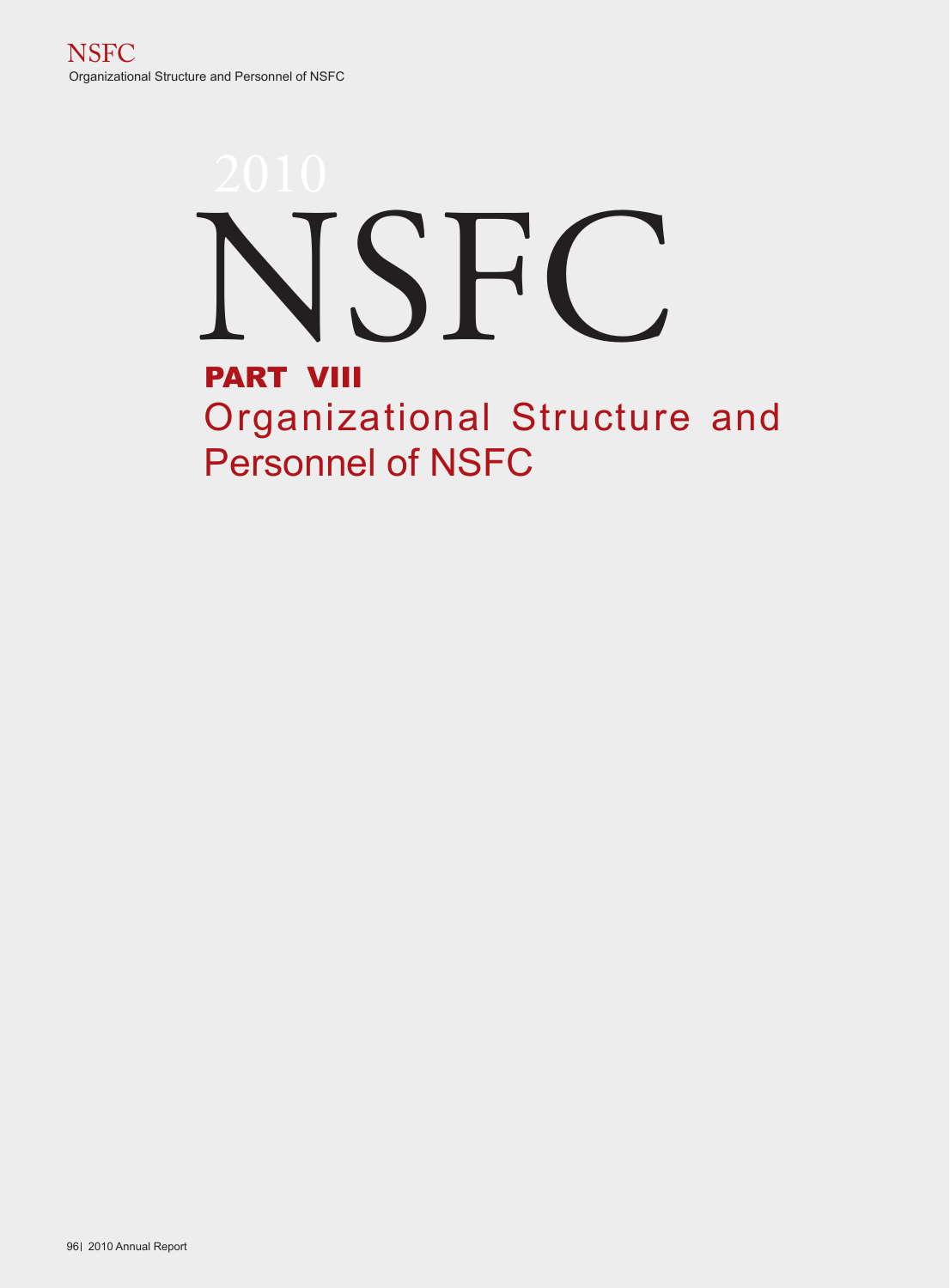# PART VIII Organizational Structure and Personnel of NSFC NSFC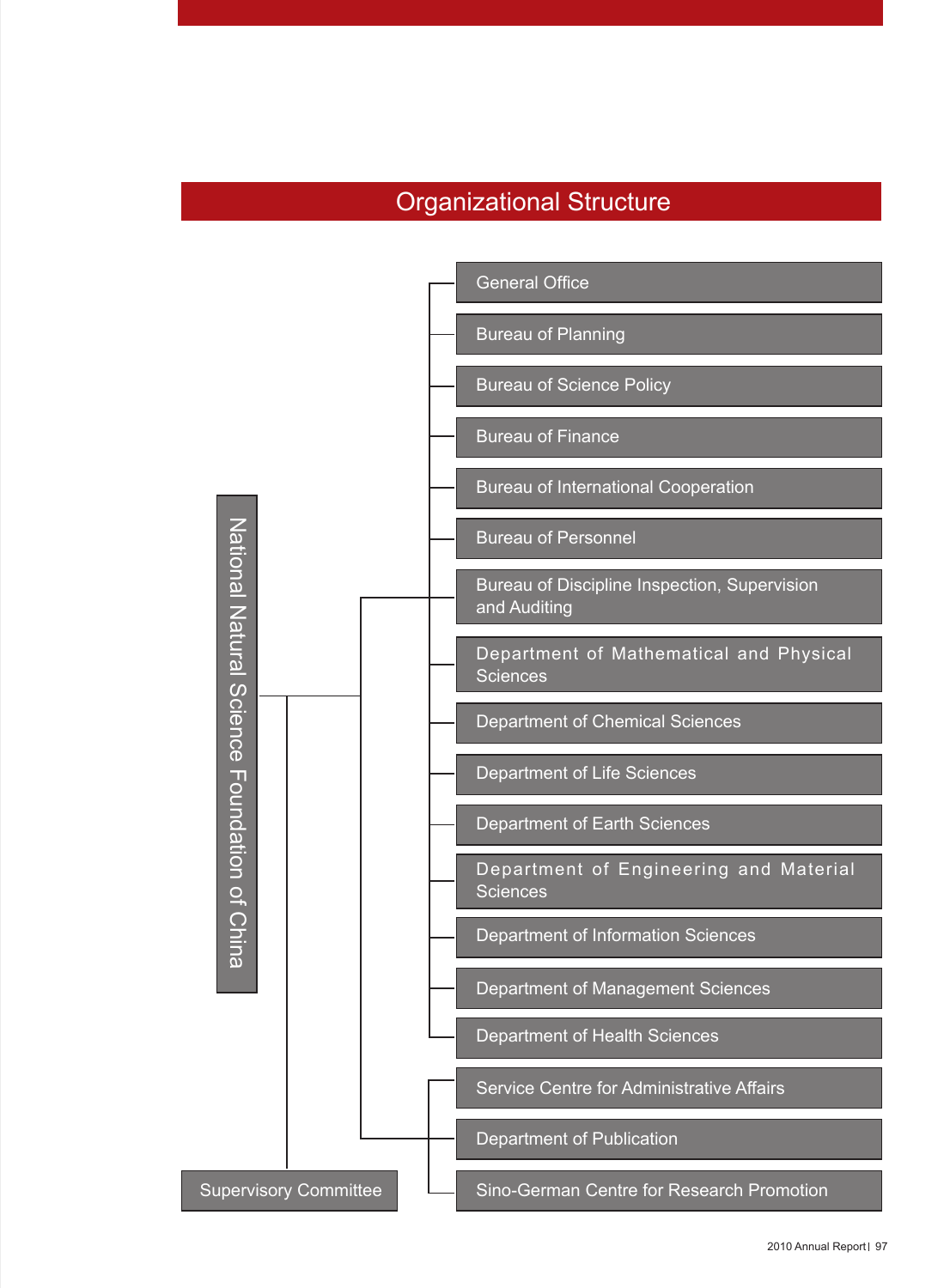## Organizational Structure

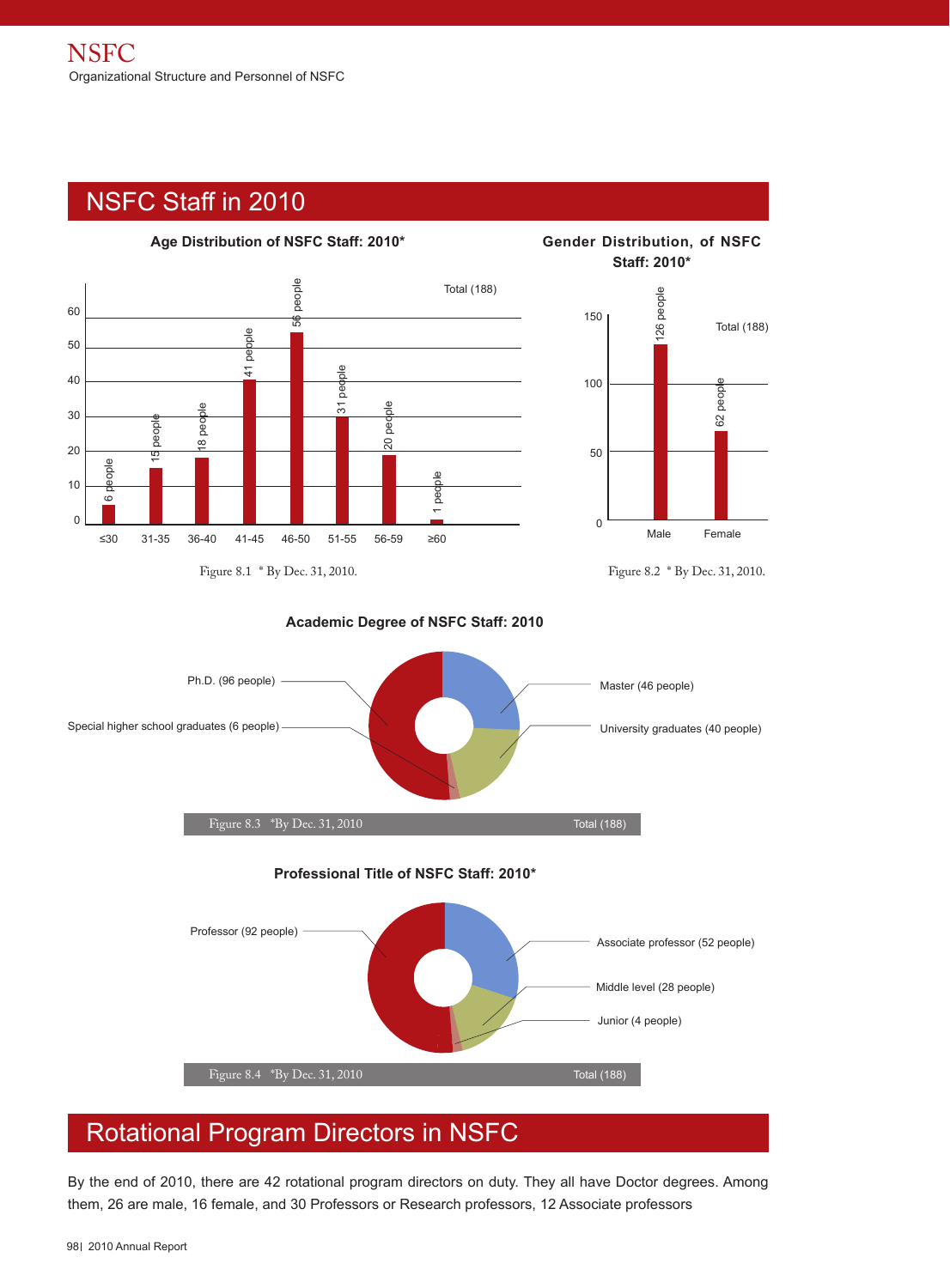# NSFC Staff in 2010





**Staff: 2010\***





**Academic Degree of NSFC Staff: 2010**

## Rotational Program Directors in NSFC

By the end of 2010, there are 42 rotational program directors on duty. They all have Doctor degrees. Among them, 26 are male, 16 female, and 30 Professors or Research professors, 12 Associate professors